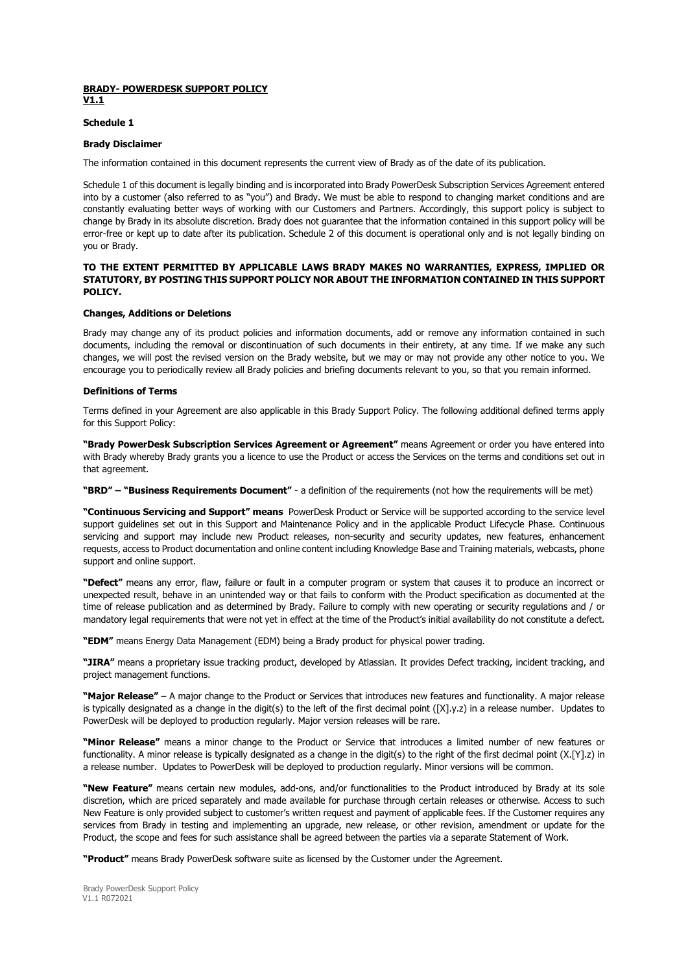# **BRADY- POWERDESK SUPPORT POLICY V1.1**

# **Schedule 1**

## **Brady Disclaimer**

The information contained in this document represents the current view of Brady as of the date of its publication.

Schedule 1 of this document is legally binding and is incorporated into Brady PowerDesk Subscription Services Agreement entered into by a customer (also referred to as "you") and Brady. We must be able to respond to changing market conditions and are constantly evaluating better ways of working with our Customers and Partners. Accordingly, this support policy is subject to change by Brady in its absolute discretion. Brady does not guarantee that the information contained in this support policy will be error-free or kept up to date after its publication. Schedule 2 of this document is operational only and is not legally binding on you or Brady.

# **TO THE EXTENT PERMITTED BY APPLICABLE LAWS BRADY MAKES NO WARRANTIES, EXPRESS, IMPLIED OR STATUTORY, BY POSTING THIS SUPPORT POLICY NOR ABOUT THE INFORMATION CONTAINED IN THIS SUPPORT POLICY.**

# **Changes, Additions or Deletions**

Brady may change any of its product policies and information documents, add or remove any information contained in such documents, including the removal or discontinuation of such documents in their entirety, at any time. If we make any such changes, we will post the revised version on the Brady website, but we may or may not provide any other notice to you. We encourage you to periodically review all Brady policies and briefing documents relevant to you, so that you remain informed.

# **Definitions of Terms**

Terms defined in your Agreement are also applicable in this Brady Support Policy. The following additional defined terms apply for this Support Policy:

**"Brady PowerDesk Subscription Services Agreement or Agreement"** means Agreement or order you have entered into with Brady whereby Brady grants you a licence to use the Product or access the Services on the terms and conditions set out in that agreement.

**"BRD" – "Business Requirements Document"** - a definition of the requirements (not how the requirements will be met)

**"Continuous Servicing and Support" means** PowerDesk Product or Service will be supported according to the service level support guidelines set out in this Support and Maintenance Policy and in the applicable Product Lifecycle Phase. Continuous servicing and support may include new Product releases, non-security and security updates, new features, enhancement requests, access to Product documentation and online content including Knowledge Base and Training materials, webcasts, phone support and online support.

**"Defect"** means any error, flaw, failure or fault in a computer program or system that causes it to produce an incorrect or unexpected result, behave in an unintended way or that fails to conform with the Product specification as documented at the time of release publication and as determined by Brady. Failure to comply with new operating or security regulations and / or mandatory legal requirements that were not yet in effect at the time of the Product's initial availability do not constitute a defect.

**"EDM"** means Energy Data Management (EDM) being a Brady product for physical power trading.

**"JIRA"** means a proprietary issue tracking product, developed by Atlassian. It provides Defect tracking, incident tracking, and project management functions.

**"Major Release"** – A major change to the Product or Services that introduces new features and functionality. A major release is typically designated as a change in the digit(s) to the left of the first decimal point ([X].y.z) in a release number. Updates to PowerDesk will be deployed to production regularly. Major version releases will be rare.

**"Minor Release"** means a minor change to the Product or Service that introduces a limited number of new features or functionality. A minor release is typically designated as a change in the digit(s) to the right of the first decimal point (X.[Y].z) in a release number. Updates to PowerDesk will be deployed to production regularly. Minor versions will be common.

**"New Feature"** means certain new modules, add-ons, and/or functionalities to the Product introduced by Brady at its sole discretion, which are priced separately and made available for purchase through certain releases or otherwise. Access to such New Feature is only provided subject to customer's written request and payment of applicable fees. If the Customer requires any services from Brady in testing and implementing an upgrade, new release, or other revision, amendment or update for the Product, the scope and fees for such assistance shall be agreed between the parties via a separate Statement of Work.

**"Product"** means Brady PowerDesk software suite as licensed by the Customer under the Agreement.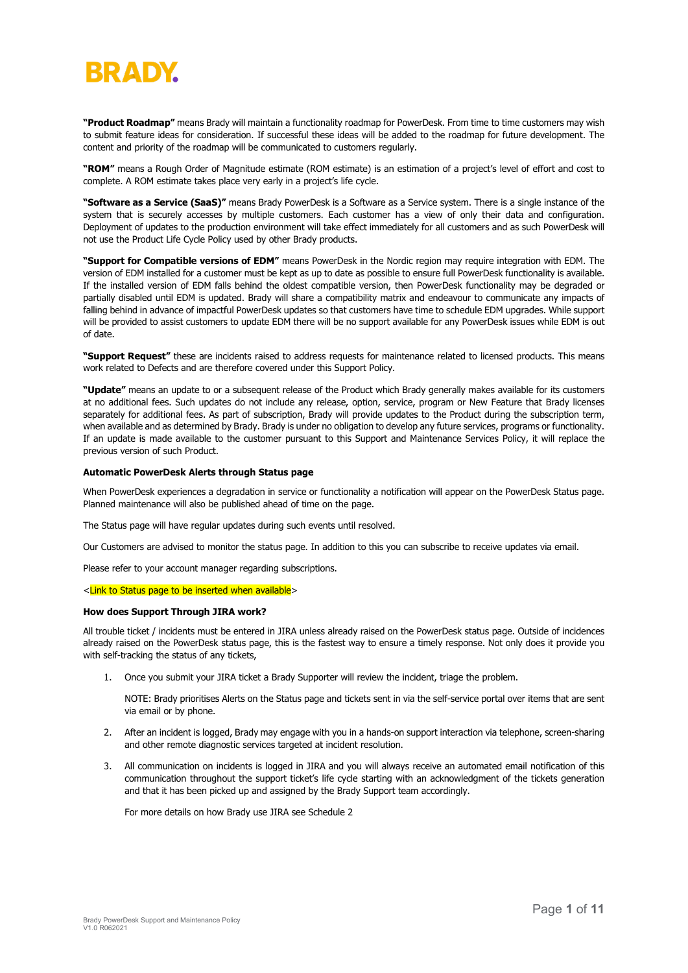# BRADY

**"Product Roadmap"** means Brady will maintain a functionality roadmap for PowerDesk. From time to time customers may wish to submit feature ideas for consideration. If successful these ideas will be added to the roadmap for future development. The content and priority of the roadmap will be communicated to customers regularly.

**"ROM"** means a Rough Order of Magnitude estimate (ROM estimate) is an estimation of a project's level of effort and cost to complete. A ROM estimate takes place very early in a project's life cycle.

**"Software as a Service (SaaS)"** means Brady PowerDesk is a Software as a Service system. There is a single instance of the system that is securely accesses by multiple customers. Each customer has a view of only their data and configuration. Deployment of updates to the production environment will take effect immediately for all customers and as such PowerDesk will not use the Product Life Cycle Policy used by other Brady products.

**"Support for Compatible versions of EDM"** means PowerDesk in the Nordic region may require integration with EDM. The version of EDM installed for a customer must be kept as up to date as possible to ensure full PowerDesk functionality is available. If the installed version of EDM falls behind the oldest compatible version, then PowerDesk functionality may be degraded or partially disabled until EDM is updated. Brady will share a compatibility matrix and endeavour to communicate any impacts of falling behind in advance of impactful PowerDesk updates so that customers have time to schedule EDM upgrades. While support will be provided to assist customers to update EDM there will be no support available for any PowerDesk issues while EDM is out of date.

**"Support Request"** these are incidents raised to address requests for maintenance related to licensed products. This means work related to Defects and are therefore covered under this Support Policy.

**"Update"** means an update to or a subsequent release of the Product which Brady generally makes available for its customers at no additional fees. Such updates do not include any release, option, service, program or New Feature that Brady licenses separately for additional fees. As part of subscription, Brady will provide updates to the Product during the subscription term, when available and as determined by Brady. Brady is under no obligation to develop any future services, programs or functionality. If an update is made available to the customer pursuant to this Support and Maintenance Services Policy, it will replace the previous version of such Product.

# **Automatic PowerDesk Alerts through Status page**

When PowerDesk experiences a degradation in service or functionality a notification will appear on the PowerDesk Status page. Planned maintenance will also be published ahead of time on the page.

The Status page will have regular updates during such events until resolved.

Our Customers are advised to monitor the status page. In addition to this you can subscribe to receive updates via email.

Please refer to your account manager regarding subscriptions.

## <Link to Status page to be inserted when available>

## **How does Support Through JIRA work?**

All trouble ticket / incidents must be entered in JIRA unless already raised on the PowerDesk status page. Outside of incidences already raised on the PowerDesk status page, this is the fastest way to ensure a timely response. Not only does it provide you with self-tracking the status of any tickets,

1. Once you submit your JIRA ticket a Brady Supporter will review the incident, triage the problem.

NOTE: Brady prioritises Alerts on the Status page and tickets sent in via the self-service portal over items that are sent via email or by phone.

- 2. After an incident is logged, Brady may engage with you in a hands-on support interaction via telephone, screen-sharing and other remote diagnostic services targeted at incident resolution.
- 3. All communication on incidents is logged in JIRA and you will always receive an automated email notification of this communication throughout the support ticket's life cycle starting with an acknowledgment of the tickets generation and that it has been picked up and assigned by the Brady Support team accordingly.

For more details on how Brady use JIRA see Schedule 2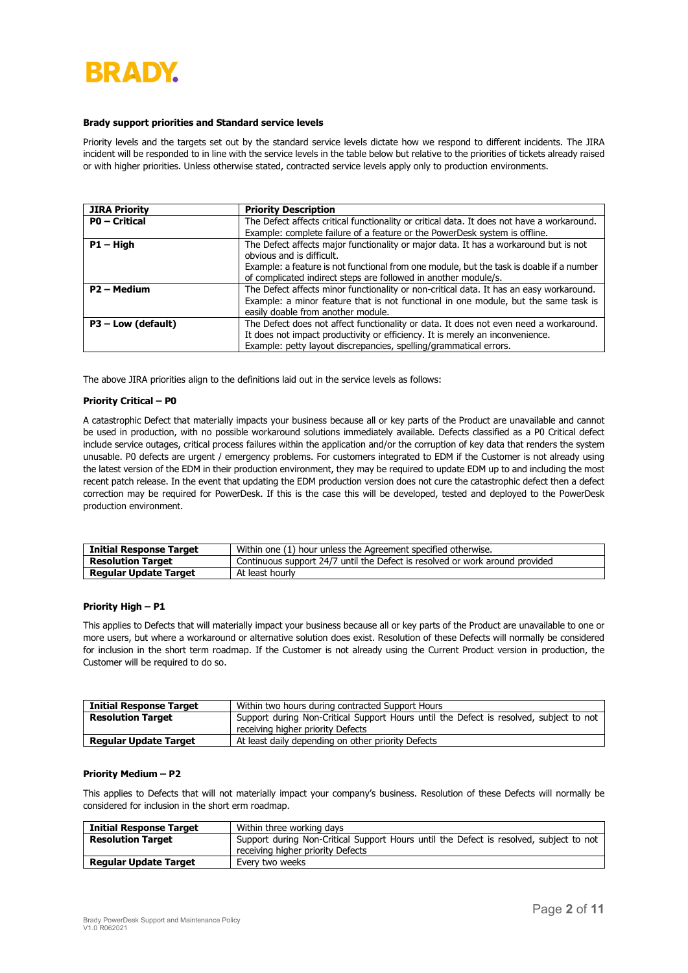# BRADY

## **Brady support priorities and Standard service levels**

Priority levels and the targets set out by the standard service levels dictate how we respond to different incidents. The JIRA incident will be responded to in line with the service levels in the table below but relative to the priorities of tickets already raised or with higher priorities. Unless otherwise stated, contracted service levels apply only to production environments.

| <b>JIRA Priority</b>    | <b>Priority Description</b>                                                                |
|-------------------------|--------------------------------------------------------------------------------------------|
| <b>PO</b> - Critical    | The Defect affects critical functionality or critical data. It does not have a workaround. |
|                         | Example: complete failure of a feature or the PowerDesk system is offline.                 |
| $P1 - High$             | The Defect affects major functionality or major data. It has a workaround but is not       |
|                         | obvious and is difficult.                                                                  |
|                         | Example: a feature is not functional from one module, but the task is doable if a number   |
|                         | of complicated indirect steps are followed in another module/s.                            |
| P <sub>2</sub> – Medium | The Defect affects minor functionality or non-critical data. It has an easy workaround.    |
|                         | Example: a minor feature that is not functional in one module, but the same task is        |
|                         | easily doable from another module.                                                         |
| $P3$ – Low (default)    | The Defect does not affect functionality or data. It does not even need a workaround.      |
|                         | It does not impact productivity or efficiency. It is merely an inconvenience.              |
|                         | Example: petty layout discrepancies, spelling/grammatical errors.                          |

The above JIRA priorities align to the definitions laid out in the service levels as follows:

## **Priority Critical – P0**

A catastrophic Defect that materially impacts your business because all or key parts of the Product are unavailable and cannot be used in production, with no possible workaround solutions immediately available. Defects classified as a P0 Critical defect include service outages, critical process failures within the application and/or the corruption of key data that renders the system unusable. P0 defects are urgent / emergency problems. For customers integrated to EDM if the Customer is not already using the latest version of the EDM in their production environment, they may be required to update EDM up to and including the most recent patch release. In the event that updating the EDM production version does not cure the catastrophic defect then a defect correction may be required for PowerDesk. If this is the case this will be developed, tested and deployed to the PowerDesk production environment.

| <b>Initial Response Target</b> | Within one (1) hour unless the Agreement specified otherwise.                |  |  |  |  |  |
|--------------------------------|------------------------------------------------------------------------------|--|--|--|--|--|
| <b>Resolution Target</b>       | Continuous support 24/7 until the Defect is resolved or work around provided |  |  |  |  |  |
| <b>Regular Update Target</b>   | At least hourly                                                              |  |  |  |  |  |

# **Priority High – P1**

This applies to Defects that will materially impact your business because all or key parts of the Product are unavailable to one or more users, but where a workaround or alternative solution does exist. Resolution of these Defects will normally be considered for inclusion in the short term roadmap. If the Customer is not already using the Current Product version in production, the Customer will be required to do so.

| <b>Initial Response Target</b> | Within two hours during contracted Support Hours                                       |  |  |  |  |  |
|--------------------------------|----------------------------------------------------------------------------------------|--|--|--|--|--|
| <b>Resolution Target</b>       | Support during Non-Critical Support Hours until the Defect is resolved, subject to not |  |  |  |  |  |
|                                | receiving higher priority Defects                                                      |  |  |  |  |  |
| <b>Regular Update Target</b>   | At least daily depending on other priority Defects                                     |  |  |  |  |  |

## **Priority Medium – P2**

This applies to Defects that will not materially impact your company's business. Resolution of these Defects will normally be considered for inclusion in the short erm roadmap.

| <b>Initial Response Target</b> | Within three working days                                                              |
|--------------------------------|----------------------------------------------------------------------------------------|
| <b>Resolution Target</b>       | Support during Non-Critical Support Hours until the Defect is resolved, subject to not |
|                                | receiving higher priority Defects                                                      |
| <b>Regular Update Target</b>   | Every two weeks                                                                        |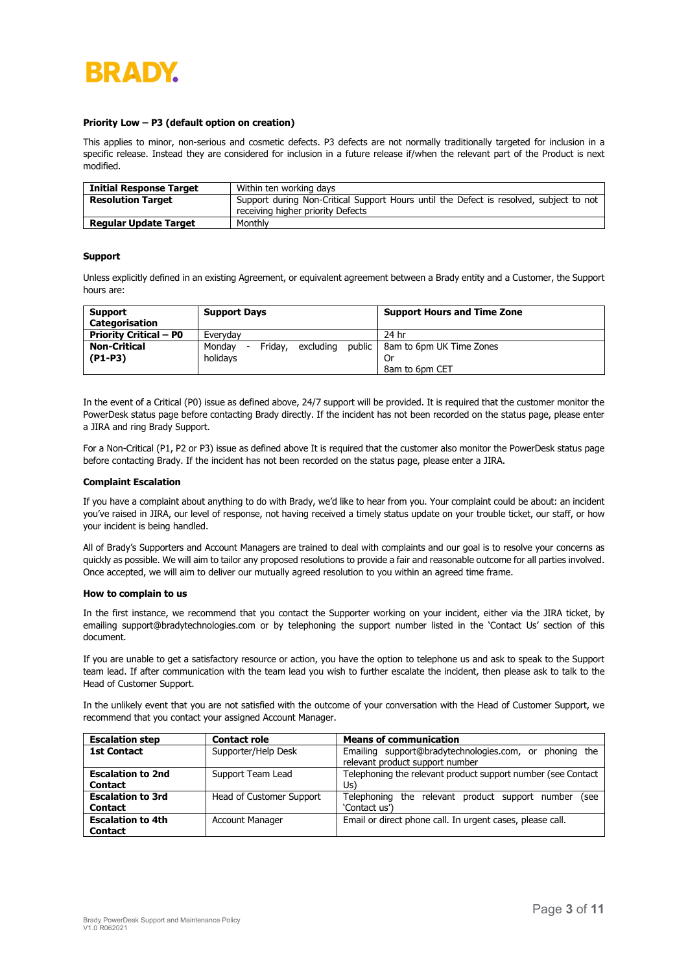

## **Priority Low – P3 (default option on creation)**

This applies to minor, non-serious and cosmetic defects. P3 defects are not normally traditionally targeted for inclusion in a specific release. Instead they are considered for inclusion in a future release if/when the relevant part of the Product is next modified.

| <b>Initial Response Target</b> | Within ten working days                                                                                                     |
|--------------------------------|-----------------------------------------------------------------------------------------------------------------------------|
| <b>Resolution Target</b>       | Support during Non-Critical Support Hours until the Defect is resolved, subject to not<br>receiving higher priority Defects |
| <b>Regular Update Target</b>   | Monthly                                                                                                                     |

#### **Support**

Unless explicitly defined in an existing Agreement, or equivalent agreement between a Brady entity and a Customer, the Support hours are:

| <b>Support</b><br>Categorisation | <b>Support Days</b>                                                  | <b>Support Hours and Time Zone</b> |
|----------------------------------|----------------------------------------------------------------------|------------------------------------|
| <b>Priority Critical – P0</b>    | Everyday                                                             | 24 hr                              |
| <b>Non-Critical</b>              | public<br>Fridav.<br>excluding<br>Mondav<br>$\overline{\phantom{0}}$ | 8am to 6pm UK Time Zones           |
| $(P1-P3)$                        | holidavs                                                             |                                    |
|                                  |                                                                      | 8am to 6pm CET                     |

In the event of a Critical (P0) issue as defined above, 24/7 support will be provided. It is required that the customer monitor the PowerDesk status page before contacting Brady directly. If the incident has not been recorded on the status page, please enter a JIRA and ring Brady Support.

For a Non-Critical (P1, P2 or P3) issue as defined above It is required that the customer also monitor the PowerDesk status page before contacting Brady. If the incident has not been recorded on the status page, please enter a JIRA.

### **Complaint Escalation**

If you have a complaint about anything to do with Brady, we'd like to hear from you. Your complaint could be about: an incident you've raised in JIRA, our level of response, not having received a timely status update on your trouble ticket, our staff, or how your incident is being handled.

All of Brady's Supporters and Account Managers are trained to deal with complaints and our goal is to resolve your concerns as quickly as possible. We will aim to tailor any proposed resolutions to provide a fair and reasonable outcome for all parties involved. Once accepted, we will aim to deliver our mutually agreed resolution to you within an agreed time frame.

#### **How to complain to us**

In the first instance, we recommend that you contact the Supporter working on your incident, either via the JIRA ticket, by emailing [support@bradytechnologies.com](mailto:support@bradytechnologies.com) or by telephoning the support number listed in the 'Contact Us' section of this document.

If you are unable to get a satisfactory resource or action, you have the option to telephone us and ask to speak to the Support team lead. If after communication with the team lead you wish to further escalate the incident, then please ask to talk to the Head of Customer Support.

In the unlikely event that you are not satisfied with the outcome of your conversation with the Head of Customer Support, we recommend that you contact your assigned Account Manager.

| <b>Escalation step</b>   | <b>Contact role</b>      | <b>Means of communication</b>                                |  |  |  |  |  |
|--------------------------|--------------------------|--------------------------------------------------------------|--|--|--|--|--|
| <b>1st Contact</b>       | Supporter/Help Desk      | Emailing support@bradytechnologies.com, or<br>phoning the    |  |  |  |  |  |
|                          |                          | relevant product support number                              |  |  |  |  |  |
| <b>Escalation to 2nd</b> | Support Team Lead        | Telephoning the relevant product support number (see Contact |  |  |  |  |  |
| <b>Contact</b>           |                          | Us)                                                          |  |  |  |  |  |
| <b>Escalation to 3rd</b> | Head of Customer Support | Telephoning the relevant product support number<br>see)      |  |  |  |  |  |
| <b>Contact</b>           |                          | 'Contact us')                                                |  |  |  |  |  |
| <b>Escalation to 4th</b> | <b>Account Manager</b>   | Email or direct phone call. In urgent cases, please call.    |  |  |  |  |  |
| <b>Contact</b>           |                          |                                                              |  |  |  |  |  |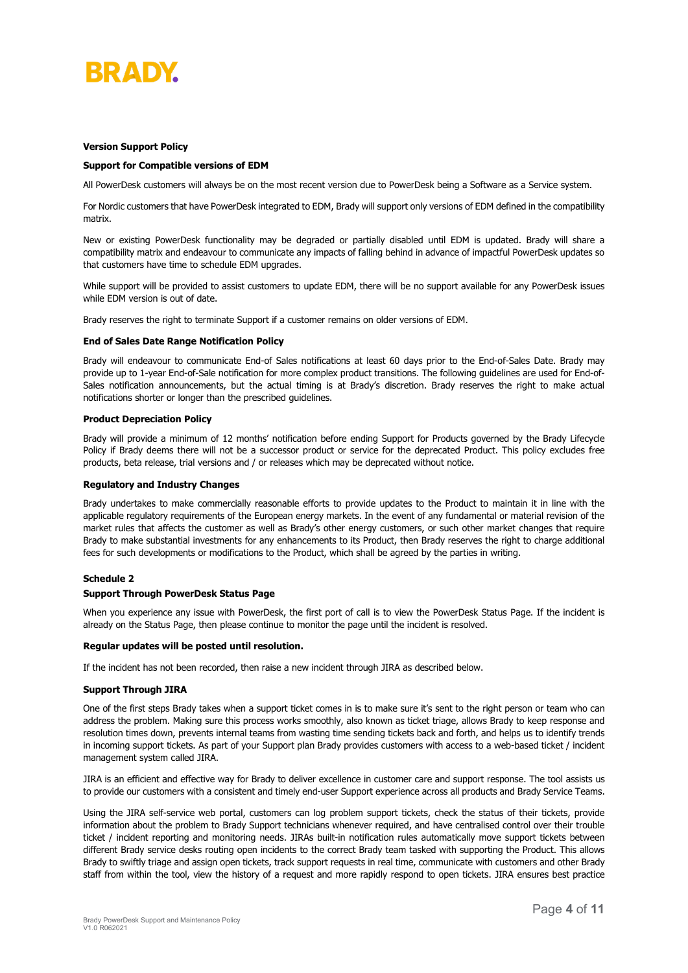

## **Version Support Policy**

## **Support for Compatible versions of EDM**

All PowerDesk customers will always be on the most recent version due to PowerDesk being a Software as a Service system.

For Nordic customers that have PowerDesk integrated to EDM, Brady will support only versions of EDM defined in the compatibility matrix.

New or existing PowerDesk functionality may be degraded or partially disabled until EDM is updated. Brady will share a compatibility matrix and endeavour to communicate any impacts of falling behind in advance of impactful PowerDesk updates so that customers have time to schedule EDM upgrades.

While support will be provided to assist customers to update EDM, there will be no support available for any PowerDesk issues while EDM version is out of date.

Brady reserves the right to terminate Support if a customer remains on older versions of EDM.

## **End of Sales Date Range Notification Policy**

Brady will endeavour to communicate End-of Sales notifications at least 60 days prior to the End-of-Sales Date. Brady may provide up to 1-year End-of-Sale notification for more complex product transitions. The following guidelines are used for End-of-Sales notification announcements, but the actual timing is at Brady's discretion. Brady reserves the right to make actual notifications shorter or longer than the prescribed guidelines.

### **Product Depreciation Policy**

Brady will provide a minimum of 12 months' notification before ending Support for Products governed by the Brady Lifecycle Policy if Brady deems there will not be a successor product or service for the deprecated Product. This policy excludes free products, beta release, trial versions and / or releases which may be deprecated without notice.

#### **Regulatory and Industry Changes**

Brady undertakes to make commercially reasonable efforts to provide updates to the Product to maintain it in line with the applicable regulatory requirements of the European energy markets. In the event of any fundamental or material revision of the market rules that affects the customer as well as Brady's other energy customers, or such other market changes that require Brady to make substantial investments for any enhancements to its Product, then Brady reserves the right to charge additional fees for such developments or modifications to the Product, which shall be agreed by the parties in writing.

# **Schedule 2**

#### **Support Through PowerDesk Status Page**

When you experience any issue with PowerDesk, the first port of call is to view the PowerDesk Status Page. If the incident is already on the Status Page, then please continue to monitor the page until the incident is resolved.

#### **Regular updates will be posted until resolution.**

If the incident has not been recorded, then raise a new incident through JIRA as described below.

#### **Support Through JIRA**

One of the first steps Brady takes when a support ticket comes in is to make sure it's sent to the right person or team who can address the problem. Making sure this process works smoothly, also known as ticket triage, allows Brady to keep response and resolution times down, prevents internal teams from wasting time sending tickets back and forth, and helps us to identify trends in incoming support tickets. As part of your Support plan Brady provides customers with access to a web-based ticket / incident management system called JIRA.

JIRA is an efficient and effective way for Brady to deliver excellence in customer care and support response. The tool assists us to provide our customers with a consistent and timely end-user Support experience across all products and Brady Service Teams.

Using the JIRA self-service web portal, customers can log problem support tickets, check the status of their tickets, provide information about the problem to Brady Support technicians whenever required, and have centralised control over their trouble ticket / incident reporting and monitoring needs. JIRAs built-in notification rules automatically move support tickets between different Brady service desks routing open incidents to the correct Brady team tasked with supporting the Product. This allows Brady to swiftly triage and assign open tickets, track support requests in real time, communicate with customers and other Brady staff from within the tool, view the history of a request and more rapidly respond to open tickets. JIRA ensures best practice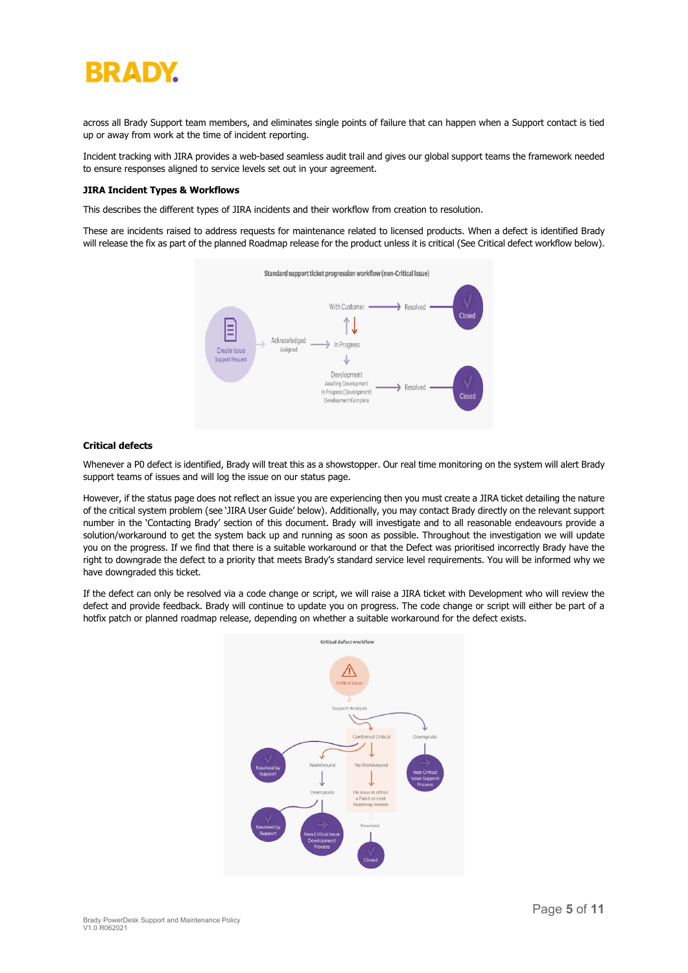# BRADY

across all Brady Support team members, and eliminates single points of failure that can happen when a Support contact is tied up or away from work at the time of incident reporting.

Incident tracking with JIRA provides a web-based seamless audit trail and gives our global support teams the framework needed to ensure responses aligned to service levels set out in your agreement.

## **JIRA Incident Types & Workflows**

This describes the different types of JIRA incidents and their workflow from creation to resolution.

These are incidents raised to address requests for maintenance related to licensed products. When a defect is identified Brady will release the fix as part of the planned Roadmap release for the product unless it is critical (See Critical defect workflow below).



# **Critical defects**

Whenever a P0 defect is identified, Brady will treat this as a showstopper. Our real time monitoring on the system will alert Brady support teams of issues and will log the issue on our status page.

However, if the status page does not reflect an issue you are experiencing then you must create a JIRA ticket detailing the nature of the critical system problem (see 'JIRA User Guide' below). Additionally, you may contact Brady directly on the relevant support number in the 'Contacting Brady' section of this document. Brady will investigate and to all reasonable endeavours provide a solution/workaround to get the system back up and running as soon as possible. Throughout the investigation we will update you on the progress. If we find that there is a suitable workaround or that the Defect was prioritised incorrectly Brady have the right to downgrade the defect to a priority that meets Brady's standard service level requirements. You will be informed why we have downgraded this ticket.

If the defect can only be resolved via a code change or script, we will raise a JIRA ticket with Development who will review the defect and provide feedback. Brady will continue to update you on progress. The code change or script will either be part of a hotfix patch or planned roadmap release, depending on whether a suitable workaround for the defect exists.

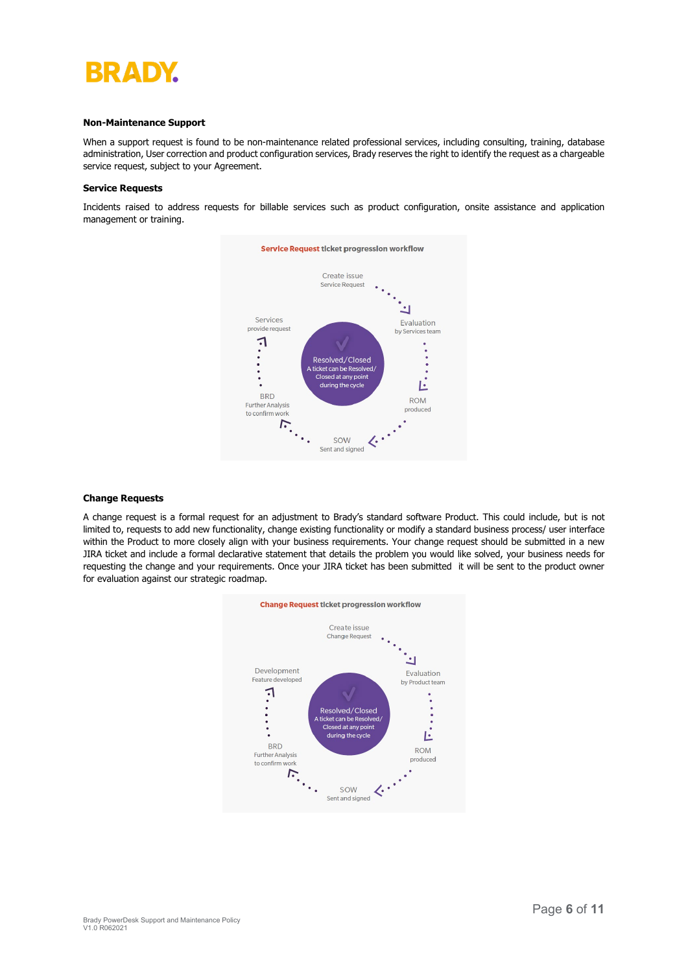

### **Non-Maintenance Support**

When a support request is found to be non-maintenance related professional services, including consulting, training, database administration, User correction and product configuration services, Brady reserves the right to identify the request as a chargeable service request, subject to your Agreement.

## **Service Requests**

Incidents raised to address requests for billable services such as product configuration, onsite assistance and application management or training.



# **Change Requests**

A change request is a formal request for an adjustment to Brady's standard software Product. This could include, but is not limited to, requests to add new functionality, change existing functionality or modify a standard business process/ user interface within the Product to more closely align with your business requirements. Your change request should be submitted in a new JIRA ticket and include a formal declarative statement that details the problem you would like solved, your business needs for requesting the change and your requirements. Once your JIRA ticket has been submitted it will be sent to the product owner for evaluation against our strategic roadmap.

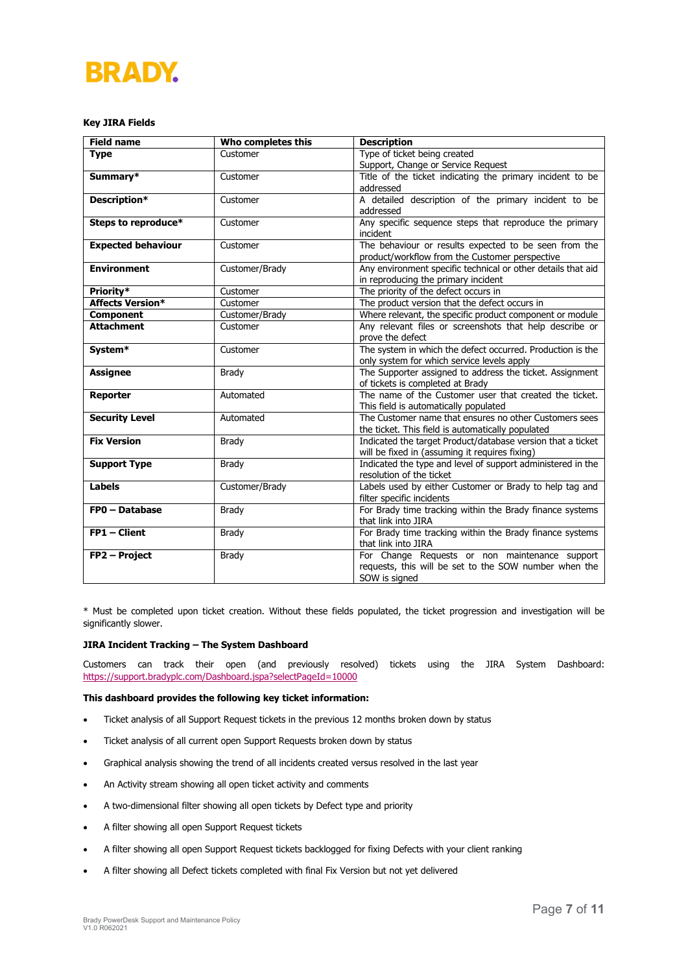# **BRADY.**

# **Key JIRA Fields**

| <b>Field name</b>                  | Who completes this | <b>Description</b>                                           |  |  |  |  |  |
|------------------------------------|--------------------|--------------------------------------------------------------|--|--|--|--|--|
| <b>Type</b>                        | Customer           | Type of ticket being created                                 |  |  |  |  |  |
|                                    |                    | Support, Change or Service Request                           |  |  |  |  |  |
| Summary*                           | Customer           | Title of the ticket indicating the primary incident to be    |  |  |  |  |  |
|                                    |                    | addressed                                                    |  |  |  |  |  |
| Description*                       | Customer           | A detailed description of the primary incident to be         |  |  |  |  |  |
|                                    |                    | addressed                                                    |  |  |  |  |  |
| Steps to reproduce*                | Customer           | Any specific sequence steps that reproduce the primary       |  |  |  |  |  |
|                                    |                    | incident                                                     |  |  |  |  |  |
| <b>Expected behaviour</b>          | Customer           | The behaviour or results expected to be seen from the        |  |  |  |  |  |
|                                    |                    | product/workflow from the Customer perspective               |  |  |  |  |  |
| <b>Environment</b>                 | Customer/Brady     | Any environment specific technical or other details that aid |  |  |  |  |  |
|                                    |                    | in reproducing the primary incident                          |  |  |  |  |  |
| Priority <sup>*</sup>              | Customer           | The priority of the defect occurs in                         |  |  |  |  |  |
| <b>Affects Version*</b>            | Customer           | The product version that the defect occurs in                |  |  |  |  |  |
| <b>Component</b>                   | Customer/Brady     | Where relevant, the specific product component or module     |  |  |  |  |  |
| <b>Attachment</b>                  | Customer           | Any relevant files or screenshots that help describe or      |  |  |  |  |  |
|                                    |                    | prove the defect                                             |  |  |  |  |  |
| System*                            | Customer           | The system in which the defect occurred. Production is the   |  |  |  |  |  |
|                                    |                    | only system for which service levels apply                   |  |  |  |  |  |
| <b>Assignee</b>                    | Brady              | The Supporter assigned to address the ticket. Assignment     |  |  |  |  |  |
|                                    |                    | of tickets is completed at Brady                             |  |  |  |  |  |
| <b>Reporter</b>                    | Automated          | The name of the Customer user that created the ticket.       |  |  |  |  |  |
|                                    |                    | This field is automatically populated                        |  |  |  |  |  |
| <b>Security Level</b>              | Automated          | The Customer name that ensures no other Customers sees       |  |  |  |  |  |
|                                    |                    | the ticket. This field is automatically populated            |  |  |  |  |  |
| <b>Fix Version</b><br><b>Brady</b> |                    | Indicated the target Product/database version that a ticket  |  |  |  |  |  |
|                                    |                    | will be fixed in (assuming it requires fixing)               |  |  |  |  |  |
| <b>Support Type</b>                | <b>Brady</b>       | Indicated the type and level of support administered in the  |  |  |  |  |  |
|                                    |                    | resolution of the ticket                                     |  |  |  |  |  |
| <b>Labels</b>                      | Customer/Brady     | Labels used by either Customer or Brady to help tag and      |  |  |  |  |  |
|                                    |                    | filter specific incidents                                    |  |  |  |  |  |
| FP0 - Database                     | <b>Brady</b>       | For Brady time tracking within the Brady finance systems     |  |  |  |  |  |
|                                    |                    | that link into JIRA                                          |  |  |  |  |  |
| FP1 - Client                       | Brady              | For Brady time tracking within the Brady finance systems     |  |  |  |  |  |
|                                    |                    | that link into JIRA                                          |  |  |  |  |  |
| FP2 - Project                      | Brady              | For Change Requests or non maintenance support               |  |  |  |  |  |
|                                    |                    | requests, this will be set to the SOW number when the        |  |  |  |  |  |
|                                    |                    | SOW is signed                                                |  |  |  |  |  |

\* Must be completed upon ticket creation. Without these fields populated, the ticket progression and investigation will be significantly slower.

## **JIRA Incident Tracking – The System Dashboard**

Customers can track their open (and previously resolved) tickets using the JIRA System Dashboard: <https://support.bradyplc.com/Dashboard.jspa?selectPageId=10000>

## **This dashboard provides the following key ticket information:**

- Ticket analysis of all Support Request tickets in the previous 12 months broken down by status
- Ticket analysis of all current open Support Requests broken down by status
- Graphical analysis showing the trend of all incidents created versus resolved in the last year
- An Activity stream showing all open ticket activity and comments
- A two-dimensional filter showing all open tickets by Defect type and priority
- A filter showing all open Support Request tickets
- A filter showing all open Support Request tickets backlogged for fixing Defects with your client ranking
- A filter showing all Defect tickets completed with final Fix Version but not yet delivered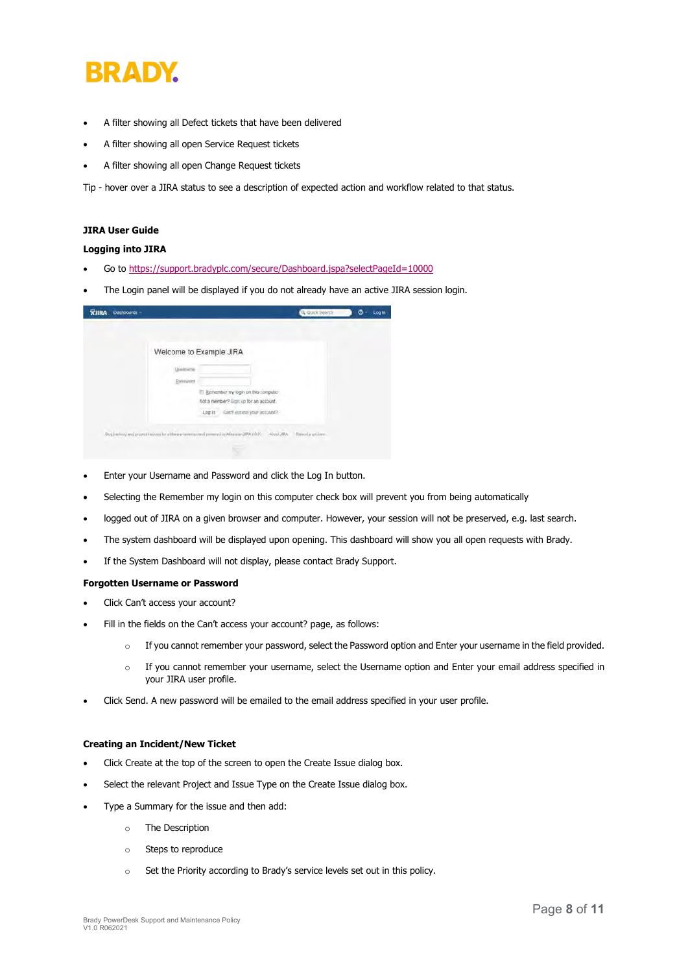

- A filter showing all Defect tickets that have been delivered
- A filter showing all open Service Request tickets
- A filter showing all open Change Request tickets

Tip - hover over a JIRA status to see a description of expected action and workflow related to that status.

# **JIRA User Guide**

# **Logging into JIRA**

- Go t[o https://support.bradyplc.com/secure/Dashboard.jspa?selectPageId=10000](https://support.bradyplc.com/secure/Dashboard.jspa?selectPageId=10000)
- The Login panel will be displayed if you do not already have an active JIRA session login.

|                  | Welcome to Example JIRA                                                                                                |  |
|------------------|------------------------------------------------------------------------------------------------------------------------|--|
| Uvenum           |                                                                                                                        |  |
| <b>Extension</b> |                                                                                                                        |  |
|                  | El Bemember my login on this computer                                                                                  |  |
|                  | Not a member? Sign up for an account.                                                                                  |  |
|                  | Can't estess your account?<br>Log in                                                                                   |  |
|                  | Dog Eastery and project fracture for withware development permissive Albuman (PIA (eb) - About JIRA - Report a grotner |  |

- Enter your Username and Password and click the Log In button.
- Selecting the Remember my login on this computer check box will prevent you from being automatically
- logged out of JIRA on a given browser and computer. However, your session will not be preserved, e.g. last search.
- The system dashboard will be displayed upon opening. This dashboard will show you all open requests with Brady.
- If the System Dashboard will not display, please contact Brady Support.

## **Forgotten Username or Password**

- Click Can't access your account?
- Fill in the fields on the Can't access your account? page, as follows:
	- o If you cannot remember your password, select the Password option and Enter your username in the field provided.
	- o If you cannot remember your username, select the Username option and Enter your email address specified in your JIRA user profile.
- Click Send. A new password will be emailed to the email address specified in your user profile.

# **Creating an Incident/New Ticket**

- Click Create at the top of the screen to open the Create Issue dialog box.
- Select the relevant Project and Issue Type on the Create Issue dialog box.
- Type a Summary for the issue and then add:
	- o The Description
	- o Steps to reproduce
	- o Set the Priority according to Brady's service levels set out in this policy.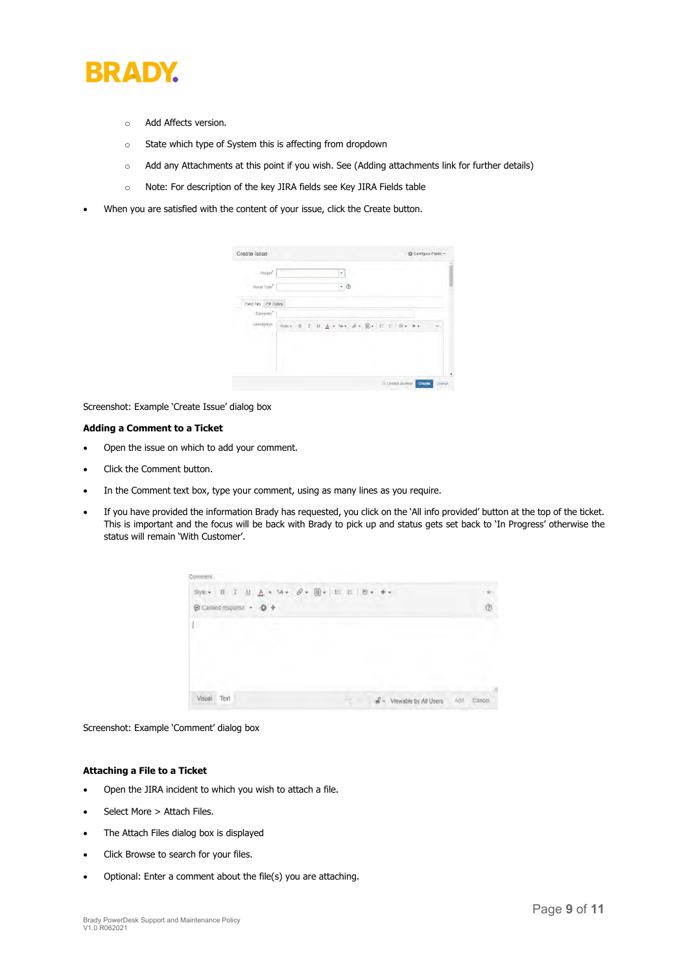

- o Add Affects version.
- o State which type of System this is affecting from dropdown
- o Add any Attachments at this point if you wish. See (Adding attachments link for further details)
- o Note: For description of the key JIRA fields see Key JIRA Fields table
- When you are satisfied with the content of your issue, click the Create button.

| Create Issue          |                                   |  |     |  |  |  | C Configure Fields + |
|-----------------------|-----------------------------------|--|-----|--|--|--|----------------------|
| Froject <sup>®</sup>  |                                   |  | ÷   |  |  |  |                      |
| maue Type"            |                                   |  | - @ |  |  |  |                      |
| Field Tab<br>FP codes |                                   |  |     |  |  |  |                      |
| Summary"              |                                   |  |     |  |  |  |                      |
| Description           | Sile B 7 旦 A · Si 6 · 图 · 三 图 · 十 |  |     |  |  |  |                      |
|                       |                                   |  |     |  |  |  |                      |
|                       |                                   |  |     |  |  |  |                      |

Screenshot: Example 'Create Issue' dialog box

# **Adding a Comment to a Ticket**

- Open the issue on which to add your comment.
- Click the Comment button.
- In the Comment text box, type your comment, using as many lines as you require.
- If you have provided the information Brady has requested, you click on the 'All info provided' button at the top of the ticket. This is important and the focus will be back with Brady to pick up and status gets set back to 'In Progress' otherwise the status will remain 'With Customer'.



Screenshot: Example 'Comment' dialog box

# **Attaching a File to a Ticket**

- Open the JIRA incident to which you wish to attach a file.
- Select More > Attach Files.
- The Attach Files dialog box is displayed
- Click Browse to search for your files.
- Optional: Enter a comment about the file(s) you are attaching.